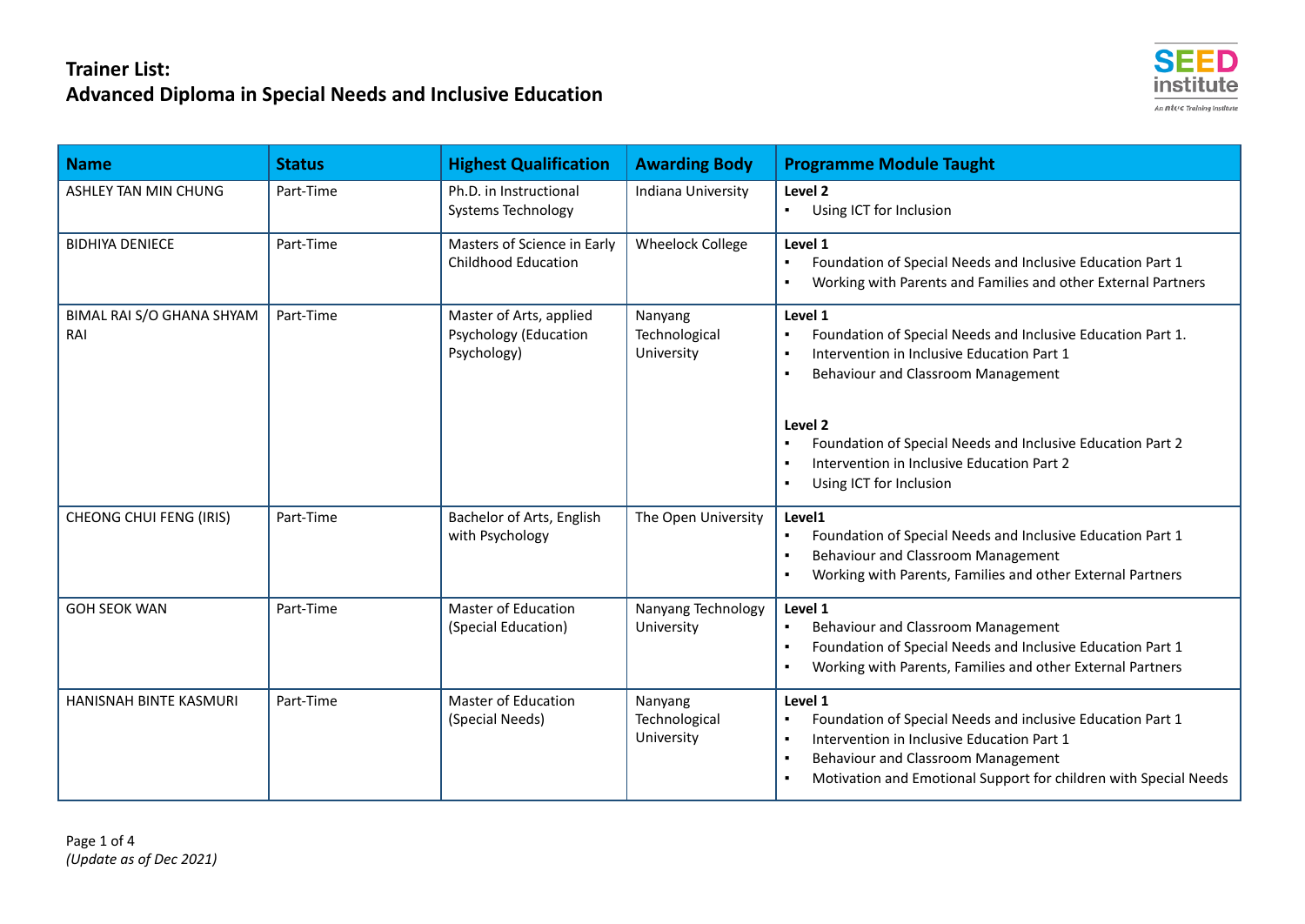

| <b>Name</b>                      | <b>Status</b> | <b>Highest Qualification</b>                                           | <b>Awarding Body</b>                   | <b>Programme Module Taught</b>                                                                                                                                                                                                                                                                                                                                                                         |
|----------------------------------|---------------|------------------------------------------------------------------------|----------------------------------------|--------------------------------------------------------------------------------------------------------------------------------------------------------------------------------------------------------------------------------------------------------------------------------------------------------------------------------------------------------------------------------------------------------|
| ASHLEY TAN MIN CHUNG             | Part-Time     | Ph.D. in Instructional<br><b>Systems Technology</b>                    | Indiana University                     | Level <sub>2</sub><br>Using ICT for Inclusion<br>$\blacksquare$                                                                                                                                                                                                                                                                                                                                        |
| <b>BIDHIYA DENIECE</b>           | Part-Time     | Masters of Science in Early<br><b>Childhood Education</b>              | <b>Wheelock College</b>                | Level 1<br>Foundation of Special Needs and Inclusive Education Part 1<br>$\blacksquare$<br>Working with Parents and Families and other External Partners                                                                                                                                                                                                                                               |
| BIMAL RAI S/O GHANA SHYAM<br>RAI | Part-Time     | Master of Arts, applied<br><b>Psychology (Education</b><br>Psychology) | Nanyang<br>Technological<br>University | Level 1<br>Foundation of Special Needs and Inclusive Education Part 1.<br>$\blacksquare$<br>Intervention in Inclusive Education Part 1<br>$\blacksquare$<br>Behaviour and Classroom Management<br>$\blacksquare$<br>Level 2<br>Foundation of Special Needs and Inclusive Education Part 2<br>Intervention in Inclusive Education Part 2<br>$\blacksquare$<br>Using ICT for Inclusion<br>$\blacksquare$ |
| <b>CHEONG CHUI FENG (IRIS)</b>   | Part-Time     | Bachelor of Arts, English<br>with Psychology                           | The Open University                    | Level1<br>Foundation of Special Needs and Inclusive Education Part 1<br>$\blacksquare$<br>Behaviour and Classroom Management<br>$\blacksquare$<br>Working with Parents, Families and other External Partners                                                                                                                                                                                           |
| <b>GOH SEOK WAN</b>              | Part-Time     | <b>Master of Education</b><br>(Special Education)                      | Nanyang Technology<br>University       | Level 1<br>Behaviour and Classroom Management<br>٠<br>Foundation of Special Needs and Inclusive Education Part 1<br>$\blacksquare$<br>Working with Parents, Families and other External Partners                                                                                                                                                                                                       |
| HANISNAH BINTE KASMURI           | Part-Time     | Master of Education<br>(Special Needs)                                 | Nanyang<br>Technological<br>University | Level 1<br>Foundation of Special Needs and inclusive Education Part 1<br>$\blacksquare$<br>Intervention in Inclusive Education Part 1<br>$\blacksquare$<br>Behaviour and Classroom Management<br>$\blacksquare$<br>Motivation and Emotional Support for children with Special Needs<br>$\blacksquare$                                                                                                  |

Page 1 of 4 *(Update as of Dec 2021)*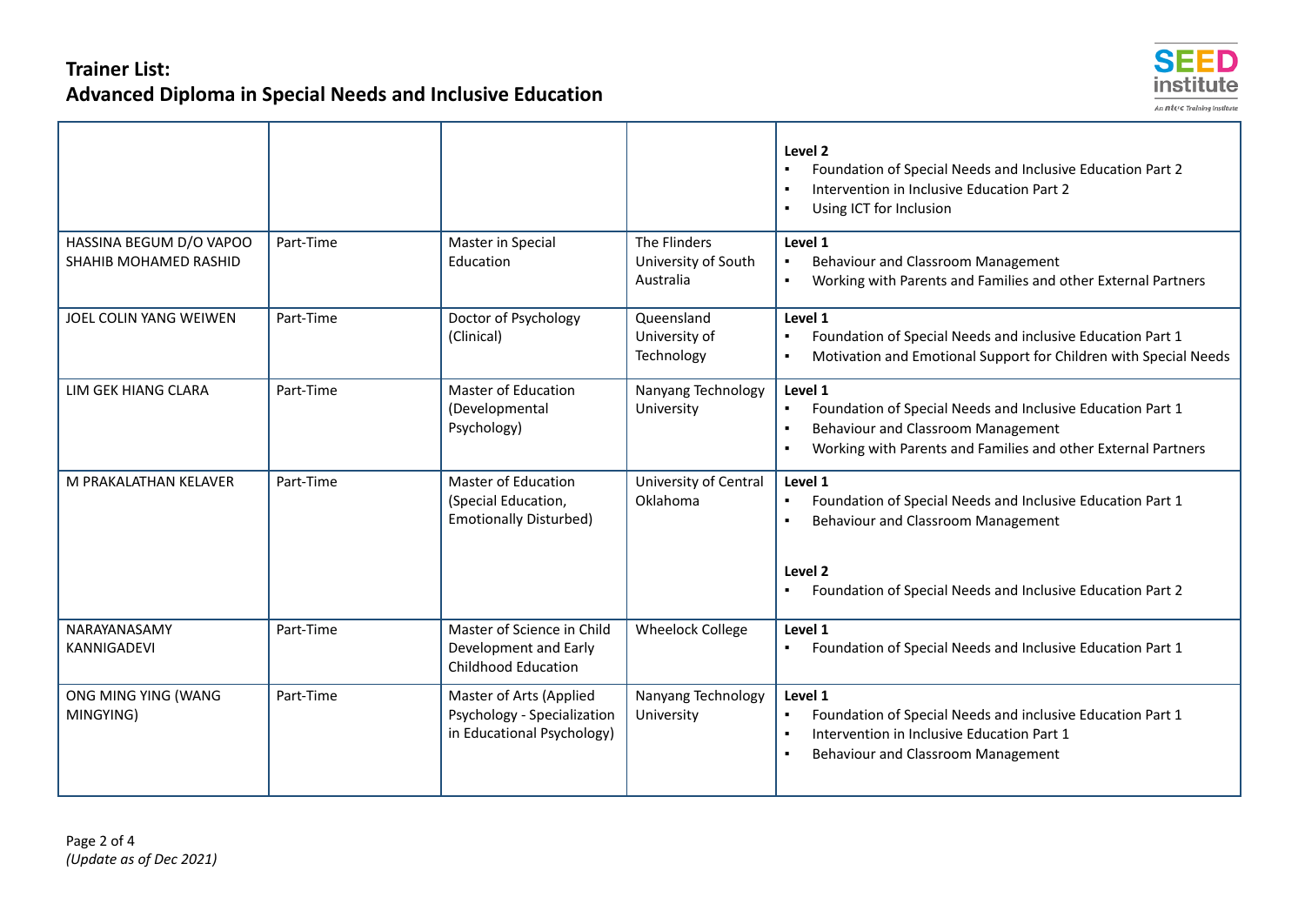

|                                                  |           |                                                                                      |                                                  | Level 2<br>Foundation of Special Needs and Inclusive Education Part 2<br>Intervention in Inclusive Education Part 2<br>Using ICT for Inclusion                                                 |
|--------------------------------------------------|-----------|--------------------------------------------------------------------------------------|--------------------------------------------------|------------------------------------------------------------------------------------------------------------------------------------------------------------------------------------------------|
| HASSINA BEGUM D/O VAPOO<br>SHAHIB MOHAMED RASHID | Part-Time | Master in Special<br>Education                                                       | The Flinders<br>University of South<br>Australia | Level 1<br>Behaviour and Classroom Management<br>Working with Parents and Families and other External Partners                                                                                 |
| JOEL COLIN YANG WEIWEN                           | Part-Time | Doctor of Psychology<br>(Clinical)                                                   | Queensland<br>University of<br>Technology        | Level 1<br>Foundation of Special Needs and inclusive Education Part 1<br>$\blacksquare$<br>Motivation and Emotional Support for Children with Special Needs                                    |
| LIM GEK HIANG CLARA                              | Part-Time | <b>Master of Education</b><br>(Developmental<br>Psychology)                          | Nanyang Technology<br>University                 | Level 1<br>Foundation of Special Needs and Inclusive Education Part 1<br>$\blacksquare$<br>Behaviour and Classroom Management<br>Working with Parents and Families and other External Partners |
| M PRAKALATHAN KELAVER                            | Part-Time | <b>Master of Education</b><br>(Special Education,<br><b>Emotionally Disturbed)</b>   | University of Central<br>Oklahoma                | Level 1<br>Foundation of Special Needs and Inclusive Education Part 1<br>$\blacksquare$<br>Behaviour and Classroom Management                                                                  |
|                                                  |           |                                                                                      |                                                  | Level 2<br>Foundation of Special Needs and Inclusive Education Part 2                                                                                                                          |
| NARAYANASAMY<br><b>KANNIGADEVI</b>               | Part-Time | Master of Science in Child<br>Development and Early<br><b>Childhood Education</b>    | <b>Wheelock College</b>                          | Level 1<br>Foundation of Special Needs and Inclusive Education Part 1<br>٠                                                                                                                     |
| ONG MING YING (WANG<br>MINGYING)                 | Part-Time | Master of Arts (Applied<br>Psychology - Specialization<br>in Educational Psychology) | Nanyang Technology<br>University                 | Level 1<br>Foundation of Special Needs and inclusive Education Part 1<br>Intervention in Inclusive Education Part 1<br>$\blacksquare$<br>Behaviour and Classroom Management                    |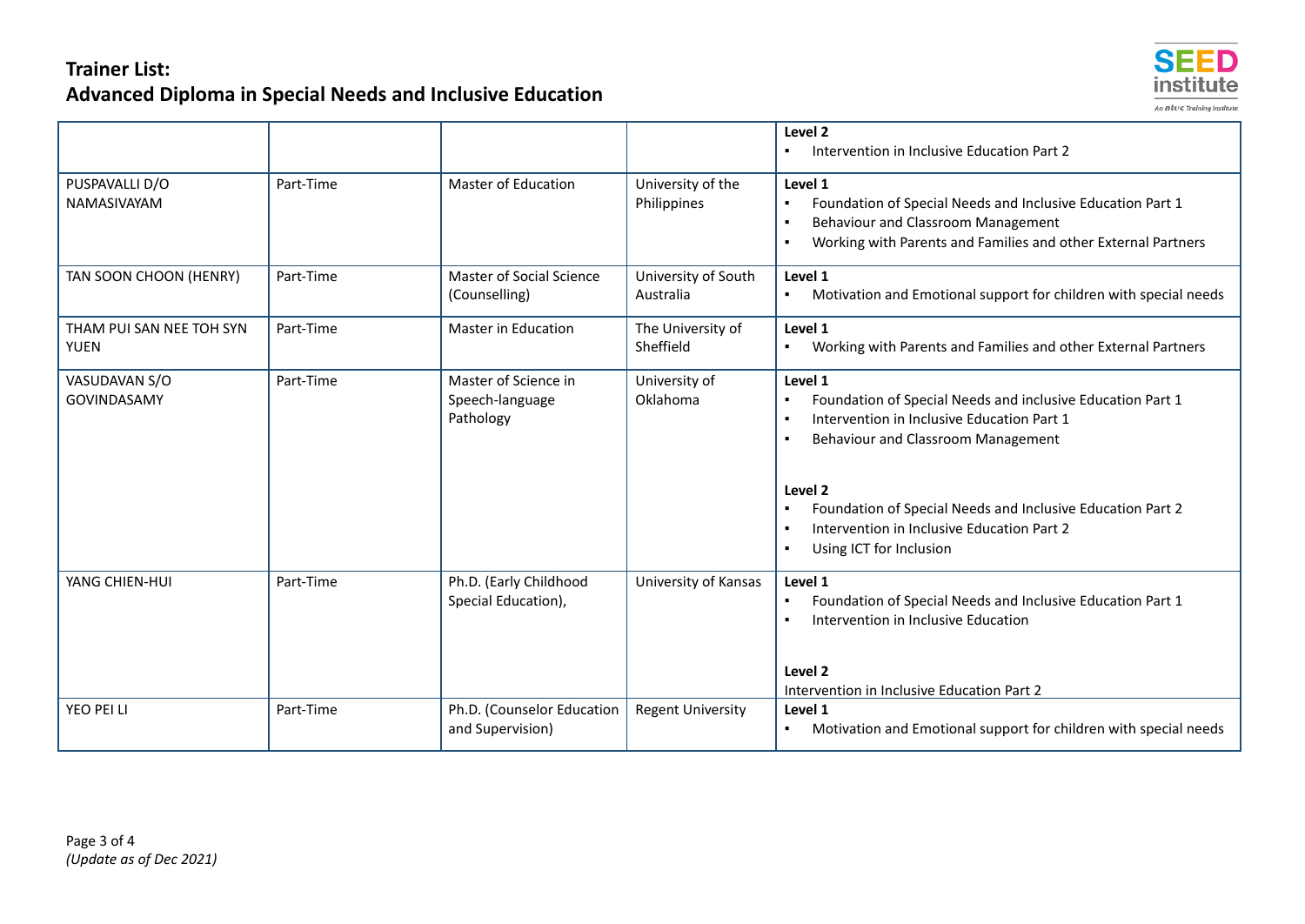

|                                         |           |                                                      |                                  | Level <sub>2</sub><br>Intervention in Inclusive Education Part 2                                                                                                                                                                                                                                                              |
|-----------------------------------------|-----------|------------------------------------------------------|----------------------------------|-------------------------------------------------------------------------------------------------------------------------------------------------------------------------------------------------------------------------------------------------------------------------------------------------------------------------------|
| PUSPAVALLI D/O<br>NAMASIVAYAM           | Part-Time | <b>Master of Education</b>                           | University of the<br>Philippines | Level 1<br>Foundation of Special Needs and Inclusive Education Part 1<br>$\blacksquare$<br>Behaviour and Classroom Management<br>Working with Parents and Families and other External Partners                                                                                                                                |
| TAN SOON CHOON (HENRY)                  | Part-Time | Master of Social Science<br>(Counselling)            | University of South<br>Australia | Level 1<br>Motivation and Emotional support for children with special needs                                                                                                                                                                                                                                                   |
| THAM PUI SAN NEE TOH SYN<br><b>YUEN</b> | Part-Time | <b>Master in Education</b>                           | The University of<br>Sheffield   | Level 1<br>Working with Parents and Families and other External Partners                                                                                                                                                                                                                                                      |
| VASUDAVAN S/O<br><b>GOVINDASAMY</b>     | Part-Time | Master of Science in<br>Speech-language<br>Pathology | University of<br>Oklahoma        | Level 1<br>Foundation of Special Needs and inclusive Education Part 1<br>Intervention in Inclusive Education Part 1<br>Behaviour and Classroom Management<br>Level 2<br>Foundation of Special Needs and Inclusive Education Part 2<br>Intervention in Inclusive Education Part 2<br>$\blacksquare$<br>Using ICT for Inclusion |
| YANG CHIEN-HUI                          | Part-Time | Ph.D. (Early Childhood<br>Special Education),        | University of Kansas             | Level 1<br>Foundation of Special Needs and Inclusive Education Part 1<br>Intervention in Inclusive Education<br>Level 2<br>Intervention in Inclusive Education Part 2                                                                                                                                                         |
| YEO PEI LI                              | Part-Time | Ph.D. (Counselor Education<br>and Supervision)       | <b>Regent University</b>         | Level 1<br>Motivation and Emotional support for children with special needs                                                                                                                                                                                                                                                   |